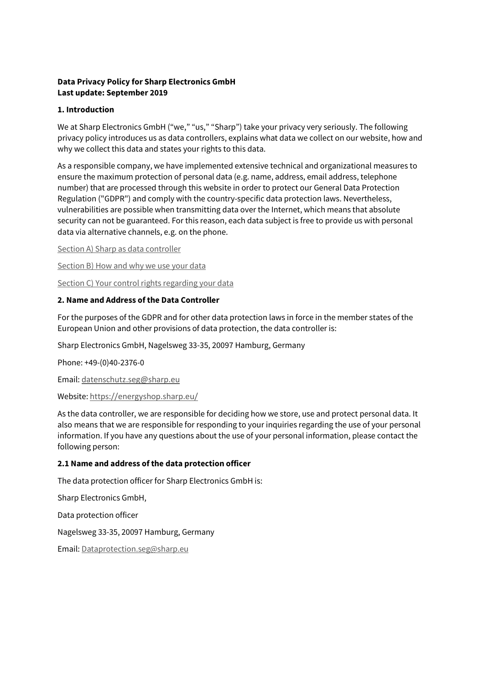# **Data Privacy Policy for Sharp Electronics GmbH Last update: September 2019**

# **1. Introduction**

We at Sharp Electronics GmbH ("we," "us," "Sharp") take your privacy very seriously. The following privacy policy introduces us as data controllers, explains what data we collect on our website, how and why we collect this data and states your rights to this data.

As a responsible company, we have implemented extensive technical and organizational measures to ensure the maximum protection of personal data (e.g. name, address, email address, telephone number) that are processed through this website in order to protect our General Data Protection Regulation ("GDPR") and comply with the country-specific data protection laws. Nevertheless, vulnerabilities are possible when transmitting data over the Internet, which means that absolute security can not be guaranteed. For this reason, each data subject is free to provide us with personal data via alternative channels, e.g. on the phone.

[Section A\) Sharp as data controller](https://www.sharp.de/cps/rde/xchg/de/hs.xsl/-/html/datenschutzerklaerung.htm#toSectionA)

[Section B\) How and why we use your data](https://www.sharp.de/cps/rde/xchg/de/hs.xsl/-/html/datenschutzerklaerung.htm#toSectionB)

[Section C\) Your control rights regarding your data](https://www.sharp.de/cps/rde/xchg/de/hs.xsl/-/html/datenschutzerklaerung.htm#toSectionC)

## **2. Name and Address of the Data Controller**

For the purposes of the GDPR and for other data protection laws in force in the member states of the European Union and other provisions of data protection, the data controller is:

Sharp Electronics GmbH, Nagelsweg 33-35, 20097 Hamburg, Germany

Phone: +49-(0)40-2376-0

Email: [datenschutz.seg@sharp.eu](mailto:datenschutz.seg@sharp.eu)

Website: <https://energyshop.sharp.eu/>

As the data controller, we are responsible for deciding how we store, use and protect personal data. It also means that we are responsible for responding to your inquiries regarding the use of your personal information. If you have any questions about the use of your personal information, please contact the following person:

## **2.1 Name and address of the data protection officer**

The data protection officer for Sharp Electronics GmbH is:

Sharp Electronics GmbH,

Data protection officer

Nagelsweg 33-35, 20097 Hamburg, Germany

Email[: Dataprotection.seg@sharp.eu](mailto:Dataprotection.seg@sharp.eu)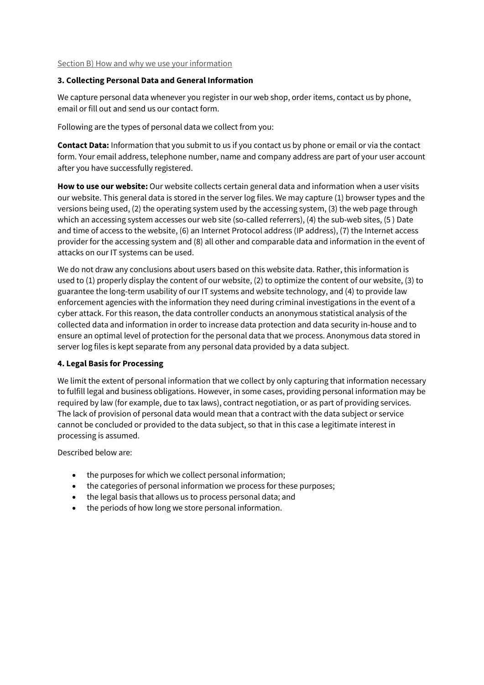Section B) How and why we use your information

# **3. Collecting Personal Data and General Information**

We capture personal data whenever you register in our web shop, order items, contact us by phone, email or fill out and send us our contact form.

Following are the types of personal data we collect from you:

**Contact Data:** Information that you submit to us if you contact us by phone or email or via the contact form. Your email address, telephone number, name and company address are part of your user account after you have successfully registered.

**How to use our website:** Our website collects certain general data and information when a user visits our website. This general data is stored in the server log files. We may capture (1) browser types and the versions being used, (2) the operating system used by the accessing system, (3) the web page through which an accessing system accesses our web site (so-called referrers), (4) the sub-web sites, (5 ) Date and time of access to the website, (6) an Internet Protocol address (IP address), (7) the Internet access provider for the accessing system and (8) all other and comparable data and information in the event of attacks on our IT systems can be used.

We do not draw any conclusions about users based on this website data. Rather, this information is used to (1) properly display the content of our website, (2) to optimize the content of our website, (3) to guarantee the long-term usability of our IT systems and website technology, and (4) to provide law enforcement agencies with the information they need during criminal investigations in the event of a cyber attack. For this reason, the data controller conducts an anonymous statistical analysis of the collected data and information in order to increase data protection and data security in-house and to ensure an optimal level of protection for the personal data that we process. Anonymous data stored in server log files is kept separate from any personal data provided by a data subject.

# **4. Legal Basis for Processing**

We limit the extent of personal information that we collect by only capturing that information necessary to fulfill legal and business obligations. However, in some cases, providing personal information may be required by law (for example, due to tax laws), contract negotiation, or as part of providing services. The lack of provision of personal data would mean that a contract with the data subject or service cannot be concluded or provided to the data subject, so that in this case a legitimate interest in processing is assumed.

Described below are:

- the purposes for which we collect personal information;
- the categories of personal information we process for these purposes;
- the legal basis that allows us to process personal data; and
- the periods of how long we store personal information.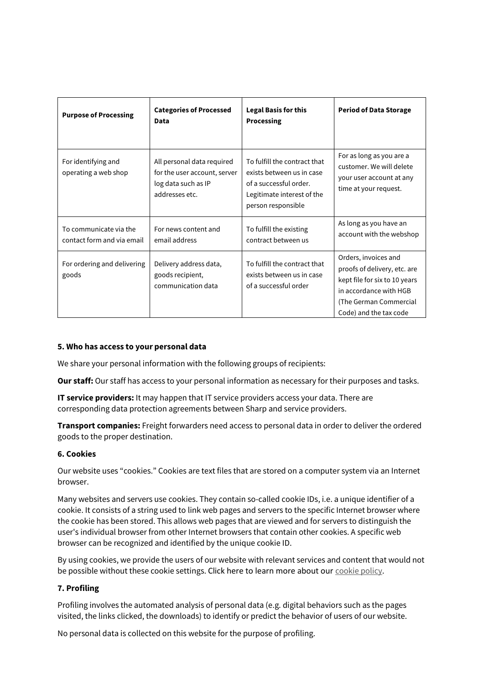| <b>Purpose of Processing</b>                         | <b>Categories of Processed</b><br>Data                                                              | <b>Legal Basis for this</b><br>Processing                                                                                               | <b>Period of Data Storage</b>                                                                                                                                       |
|------------------------------------------------------|-----------------------------------------------------------------------------------------------------|-----------------------------------------------------------------------------------------------------------------------------------------|---------------------------------------------------------------------------------------------------------------------------------------------------------------------|
| For identifying and<br>operating a web shop          | All personal data required<br>for the user account, server<br>log data such as IP<br>addresses etc. | To fulfill the contract that<br>exists between us in case<br>of a successful order.<br>Legitimate interest of the<br>person responsible | For as long as you are a<br>customer. We will delete<br>your user account at any<br>time at your request.                                                           |
| To communicate via the<br>contact form and via email | For news content and<br>email address                                                               | To fulfill the existing<br>contract between us                                                                                          | As long as you have an<br>account with the webshop                                                                                                                  |
| For ordering and delivering<br>goods                 | Delivery address data,<br>goods recipient,<br>communication data                                    | To fulfill the contract that<br>exists between us in case<br>of a successful order                                                      | Orders, invoices and<br>proofs of delivery, etc. are<br>kept file for six to 10 years<br>in accordance with HGB<br>(The German Commercial<br>Code) and the tax code |

## **5. Who has access to your personal data**

We share your personal information with the following groups of recipients:

**Our staff:** Our staff has access to your personal information as necessary for their purposes and tasks.

**IT service providers:** It may happen that IT service providers access your data. There are corresponding data protection agreements between Sharp and service providers.

**Transport companies:** Freight forwarders need access to personal data in order to deliver the ordered goods to the proper destination.

## **6. Cookies**

Our website uses "cookies." Cookies are text files that are stored on a computer system via an Internet browser.

Many websites and servers use cookies. They contain so-called cookie IDs, i.e. a unique identifier of a cookie. It consists of a string used to link web pages and servers to the specific Internet browser where the cookie has been stored. This allows web pages that are viewed and for servers to distinguish the user's individual browser from other Internet browsers that contain other cookies. A specific web browser can be recognized and identified by the unique cookie ID.

By using cookies, we provide the users of our website with relevant services and content that would not be possible without these cookie settings. Click here to learn more about our [cookie policy.](https://www.sharp.de/cps/rde/xchg/de/hs.xsl/-/html/cookie-richtlinie.htm)

## **7. Profiling**

Profiling involves the automated analysis of personal data (e.g. digital behaviors such as the pages visited, the links clicked, the downloads) to identify or predict the behavior of users of our website.

No personal data is collected on this website for the purpose of profiling.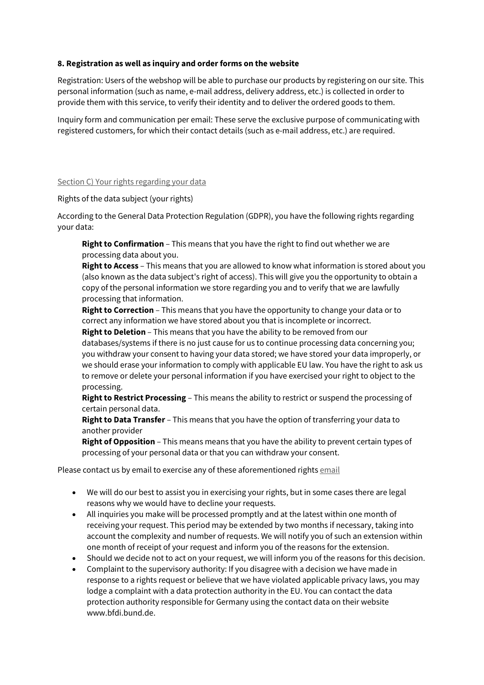# **8. Registration as well as inquiry and order forms on the website**

Registration: Users of the webshop will be able to purchase our products by registering on our site. This personal information (such as name, e-mail address, delivery address, etc.) is collected in order to provide them with this service, to verify their identity and to deliver the ordered goods to them.

Inquiry form and communication per email: These serve the exclusive purpose of communicating with registered customers, for which their contact details (such as e-mail address, etc.) are required.

## Section C) Your rights regarding your data

Rights of the data subject (your rights)

According to the General Data Protection Regulation (GDPR), you have the following rights regarding your data:

**Right to Confirmation** – This means that you have the right to find out whether we are processing data about you.

**Right to Access** – This means that you are allowed to know what information is stored about you (also known as the data subject's right of access). This will give you the opportunity to obtain a copy of the personal information we store regarding you and to verify that we are lawfully processing that information.

**Right to Correction** – This means that you have the opportunity to change your data or to correct any information we have stored about you that is incomplete or incorrect.

**Right to Deletion** – This means that you have the ability to be removed from our databases/systems if there is no just cause for us to continue processing data concerning you; you withdraw your consent to having your data stored; we have stored your data improperly, or we should erase your information to comply with applicable EU law. You have the right to ask us to remove or delete your personal information if you have exercised your right to object to the processing.

**Right to Restrict Processing** – This means the ability to restrict or suspend the processing of certain personal data.

**Right to Data Transfer** – This means that you have the option of transferring your data to another provider

**Right of Opposition** – This means means that you have the ability to prevent certain types of processing of your personal data or that you can withdraw your consent.

Please contact us by [email](mailto:dataprotection.seg@sharp.eu) to exercise any of these aforementioned rights email

- We will do our best to assist you in exercising your rights, but in some cases there are legal reasons why we would have to decline your requests.
- All inquiries you make will be processed promptly and at the latest within one month of receiving your request. This period may be extended by two months if necessary, taking into account the complexity and number of requests. We will notify you of such an extension within one month of receipt of your request and inform you of the reasons for the extension.
- Should we decide not to act on your request, we will inform you of the reasons for this decision.
- Complaint to the supervisory authority: If you disagree with a decision we have made in response to a rights request or believe that we have violated applicable privacy laws, you may lodge a complaint with a data protection authority in the EU. You can contact the data protection authority responsible for Germany using the contact data on their website www.bfdi.bund.de.